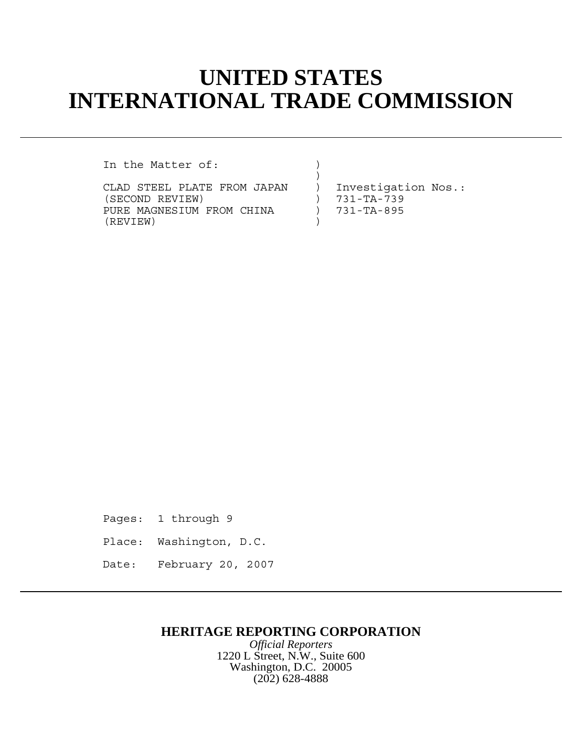## **UNITED STATES INTERNATIONAL TRADE COMMISSION**

In the Matter of:

CLAD STEEL PLATE FROM JAPAN ) Investigation Nos.:<br>(SECOND REVIEW) ) 731-TA-739 (SECOND REVIEW) (SECOND REVIEW)<br>PURE MAGNESIUM FROM CHINA (2001) 731-TA-895 PURE MAGNESIUM FROM CHINA ) (REVIEW) )

 $)$ 

Pages: 1 through 9 Place: Washington, D.C. Date: February 20, 2007

## **HERITAGE REPORTING CORPORATION**

*Official Reporters* 1220 L Street, N.W., Suite 600 Washington, D.C. 20005 (202) 628-4888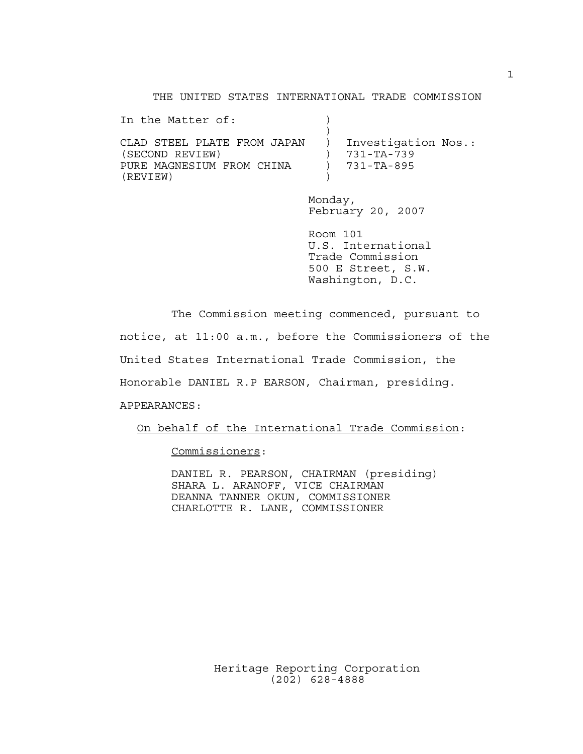THE UNITED STATES INTERNATIONAL TRADE COMMISSION

| In the Matter of:           |                     |
|-----------------------------|---------------------|
| CLAD STEEL PLATE FROM JAPAN | Investigation Nos.: |
| (SECOND REVIEW)             | 731-TA-739          |
|                             |                     |
| PURE MAGNESIUM FROM CHINA   | 731-TA-895          |
| (REVIEW)                    |                     |

Monday, February 20, 2007

Room 101 U.S. International Trade Commission 500 E Street, S.W. Washington, D.C.

The Commission meeting commenced, pursuant to notice, at 11:00 a.m., before the Commissioners of the United States International Trade Commission, the Honorable DANIEL R.P EARSON, Chairman, presiding. APPEARANCES:

On behalf of the International Trade Commission:

Commissioners:

DANIEL R. PEARSON, CHAIRMAN (presiding) SHARA L. ARANOFF, VICE CHAIRMAN DEANNA TANNER OKUN, COMMISSIONER CHARLOTTE R. LANE, COMMISSIONER

1

Heritage Reporting Corporation (202) 628-4888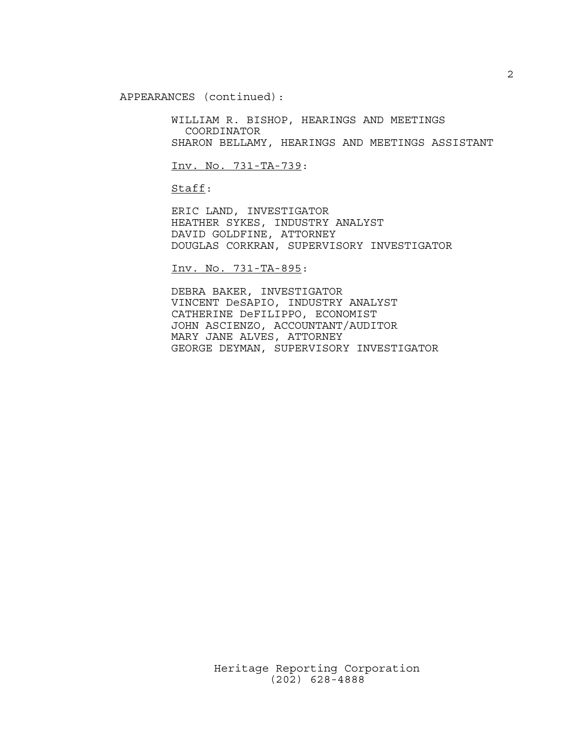APPEARANCES (continued):

WILLIAM R. BISHOP, HEARINGS AND MEETINGS COORDINATOR SHARON BELLAMY, HEARINGS AND MEETINGS ASSISTANT

Inv. No. 731-TA-739:

Staff:

ERIC LAND, INVESTIGATOR HEATHER SYKES, INDUSTRY ANALYST DAVID GOLDFINE, ATTORNEY DOUGLAS CORKRAN, SUPERVISORY INVESTIGATOR

Inv. No. 731-TA-895:

DEBRA BAKER, INVESTIGATOR VINCENT DeSAPIO, INDUSTRY ANALYST CATHERINE DeFILIPPO, ECONOMIST JOHN ASCIENZO, ACCOUNTANT/AUDITOR MARY JANE ALVES, ATTORNEY GEORGE DEYMAN, SUPERVISORY INVESTIGATOR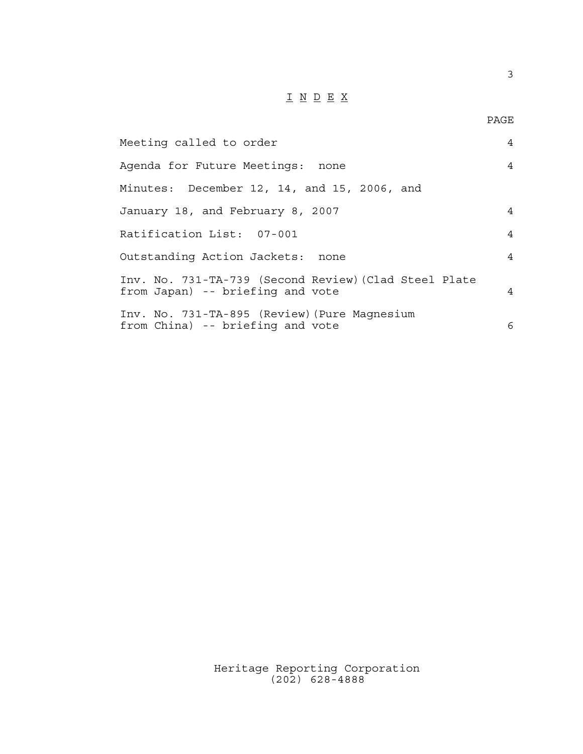## $\underline{\texttt{I}} \underline{\texttt{N}} \underline{\texttt{D}} \underline{\texttt{E}} \underline{\texttt{X}}$

| Meeting called to order                                                                   | 4              |
|-------------------------------------------------------------------------------------------|----------------|
| Agenda for Future Meetings: none                                                          | $\overline{4}$ |
| Minutes: December 12, 14, and 15, 2006, and                                               |                |
| January 18, and February 8, 2007                                                          | 4              |
| Ratification List: 07-001                                                                 | $\overline{4}$ |
| Outstanding Action Jackets: none                                                          | 4              |
| Inv. No. 731-TA-739 (Second Review) (Clad Steel Plate<br>from Japan) -- briefing and vote | $\overline{4}$ |
| Inv. No. 731-TA-895 (Review) (Pure Magnesium<br>from China) -- briefing and vote          | 6              |

Heritage Reporting Corporation (202) 628-4888

3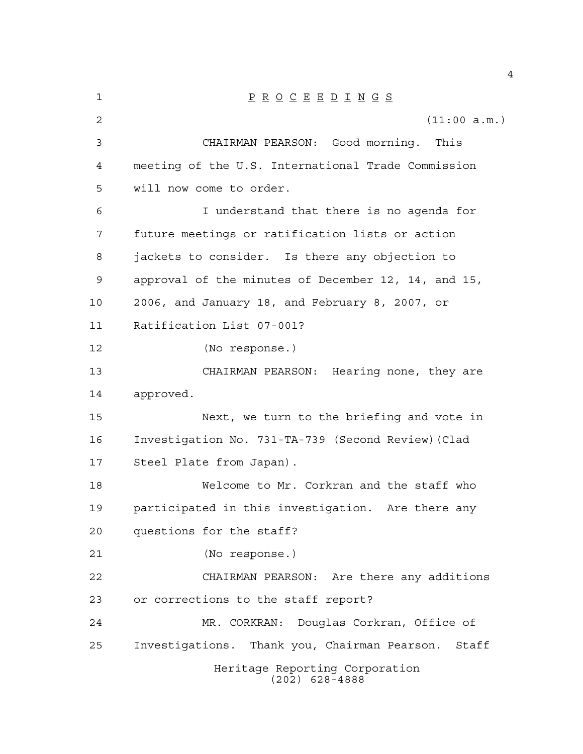| 1  | $\underline{P} \underline{R} \underline{O} \underline{C} \underline{E} \underline{E} \underline{D} \underline{I} \underline{N} \underline{G} \underline{S}$ |
|----|-------------------------------------------------------------------------------------------------------------------------------------------------------------|
| 2  | (11:00 a.m.)                                                                                                                                                |
| 3  | CHAIRMAN PEARSON: Good morning.<br>This                                                                                                                     |
| 4  | meeting of the U.S. International Trade Commission                                                                                                          |
| 5  | will now come to order.                                                                                                                                     |
| 6  | I understand that there is no agenda for                                                                                                                    |
| 7  | future meetings or ratification lists or action                                                                                                             |
| 8  | jackets to consider. Is there any objection to                                                                                                              |
| 9  | approval of the minutes of December 12, 14, and 15,                                                                                                         |
| 10 | 2006, and January 18, and February 8, 2007, or                                                                                                              |
| 11 | Ratification List 07-001?                                                                                                                                   |
| 12 | (No response.)                                                                                                                                              |
| 13 | CHAIRMAN PEARSON: Hearing none, they are                                                                                                                    |
| 14 | approved.                                                                                                                                                   |
| 15 | Next, we turn to the briefing and vote in                                                                                                                   |
| 16 | Investigation No. 731-TA-739 (Second Review) (Clad                                                                                                          |
| 17 | Steel Plate from Japan).                                                                                                                                    |
| 18 | Welcome to Mr. Corkran and the staff who                                                                                                                    |
| 19 | participated in this investigation. Are there any                                                                                                           |
| 20 | questions for the staff?                                                                                                                                    |
| 21 | (No response.)                                                                                                                                              |
| 22 | CHAIRMAN PEARSON: Are there any additions                                                                                                                   |
| 23 | or corrections to the staff report?                                                                                                                         |
| 24 | Douglas Corkran, Office of<br>MR. CORKRAN:                                                                                                                  |
| 25 | Investigations. Thank you, Chairman Pearson. Staff                                                                                                          |
|    | Heritage Reporting Corporation<br>$(202)$ 628-4888                                                                                                          |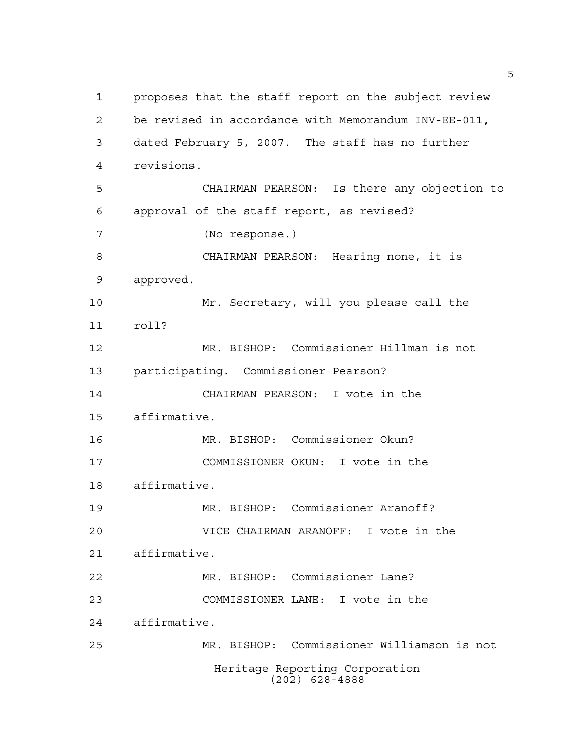Heritage Reporting Corporation (202) 628-4888 proposes that the staff report on the subject review be revised in accordance with Memorandum INV-EE-011, dated February 5, 2007. The staff has no further revisions. CHAIRMAN PEARSON: Is there any objection to approval of the staff report, as revised? (No response.) CHAIRMAN PEARSON: Hearing none, it is approved. Mr. Secretary, will you please call the roll? MR. BISHOP: Commissioner Hillman is not participating. Commissioner Pearson? CHAIRMAN PEARSON: I vote in the affirmative. MR. BISHOP: Commissioner Okun? COMMISSIONER OKUN: I vote in the affirmative. MR. BISHOP: Commissioner Aranoff? VICE CHAIRMAN ARANOFF: I vote in the affirmative. MR. BISHOP: Commissioner Lane? COMMISSIONER LANE: I vote in the affirmative. MR. BISHOP: Commissioner Williamson is not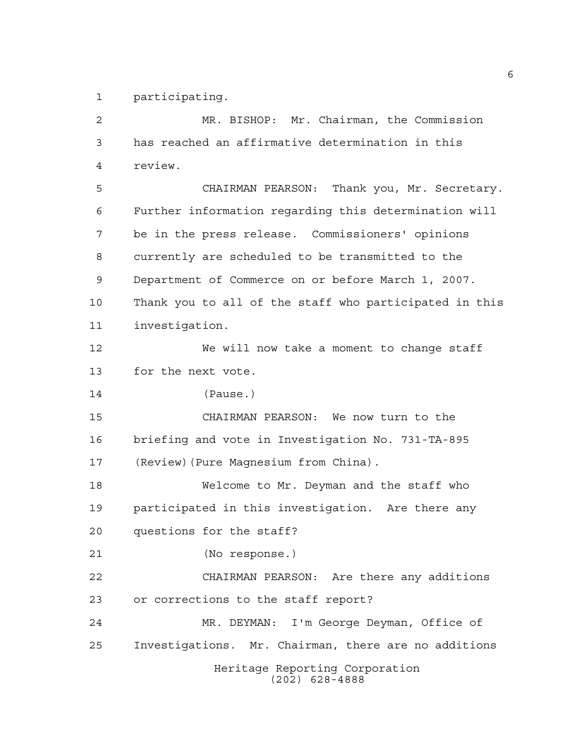participating.

Heritage Reporting Corporation (202) 628-4888 MR. BISHOP: Mr. Chairman, the Commission has reached an affirmative determination in this review. CHAIRMAN PEARSON: Thank you, Mr. Secretary. Further information regarding this determination will be in the press release. Commissioners' opinions currently are scheduled to be transmitted to the Department of Commerce on or before March 1, 2007. Thank you to all of the staff who participated in this investigation. We will now take a moment to change staff for the next vote. (Pause.) CHAIRMAN PEARSON: We now turn to the briefing and vote in Investigation No. 731-TA-895 (Review)(Pure Magnesium from China). Welcome to Mr. Deyman and the staff who participated in this investigation. Are there any questions for the staff? (No response.) CHAIRMAN PEARSON: Are there any additions or corrections to the staff report? MR. DEYMAN: I'm George Deyman, Office of Investigations. Mr. Chairman, there are no additions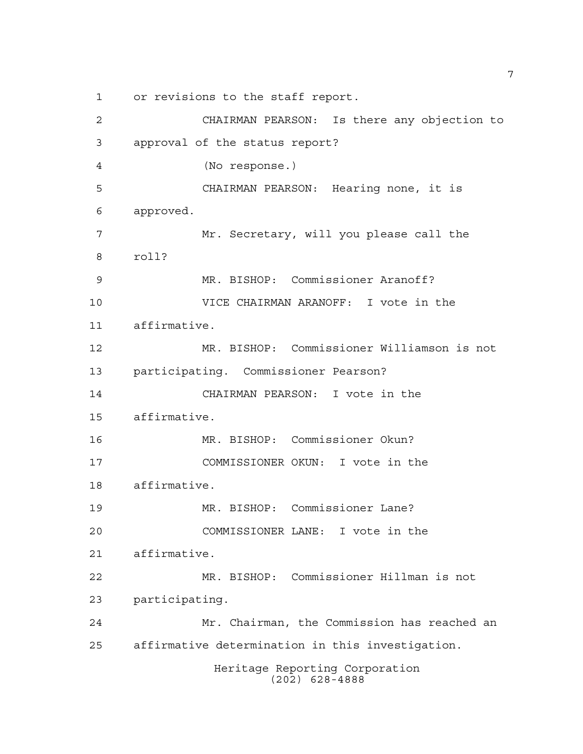or revisions to the staff report.

Heritage Reporting Corporation (202) 628-4888 CHAIRMAN PEARSON: Is there any objection to approval of the status report? (No response.) CHAIRMAN PEARSON: Hearing none, it is approved. Mr. Secretary, will you please call the roll? MR. BISHOP: Commissioner Aranoff? VICE CHAIRMAN ARANOFF: I vote in the affirmative. MR. BISHOP: Commissioner Williamson is not participating. Commissioner Pearson? CHAIRMAN PEARSON: I vote in the affirmative. MR. BISHOP: Commissioner Okun? COMMISSIONER OKUN: I vote in the affirmative. MR. BISHOP: Commissioner Lane? COMMISSIONER LANE: I vote in the affirmative. MR. BISHOP: Commissioner Hillman is not participating. Mr. Chairman, the Commission has reached an affirmative determination in this investigation.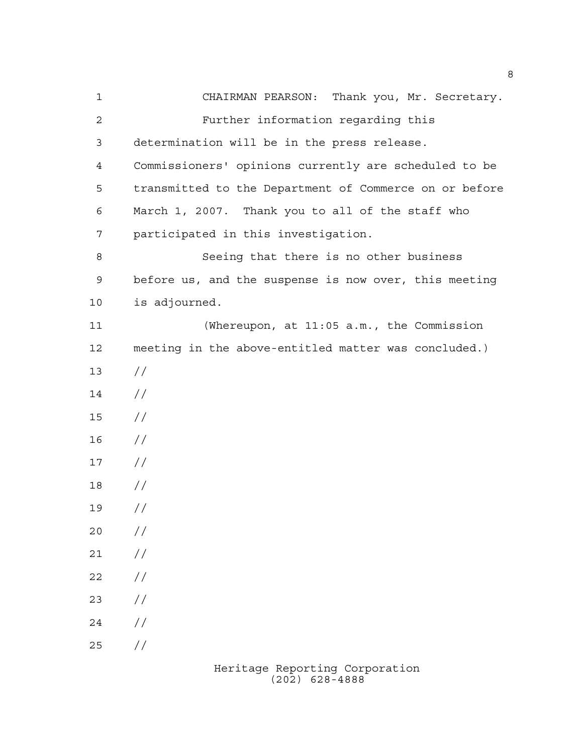CHAIRMAN PEARSON: Thank you, Mr. Secretary. Further information regarding this determination will be in the press release. Commissioners' opinions currently are scheduled to be transmitted to the Department of Commerce on or before March 1, 2007. Thank you to all of the staff who participated in this investigation. Seeing that there is no other business before us, and the suspense is now over, this meeting is adjourned. (Whereupon, at 11:05 a.m., the Commission meeting in the above-entitled matter was concluded.)  $13 / /$  // // //  $17 /$  // //  $20 /$  $21 /$  $22 / /$  $23 / /$  $24 /$  $25 / /$ 

> Heritage Reporting Corporation (202) 628-4888